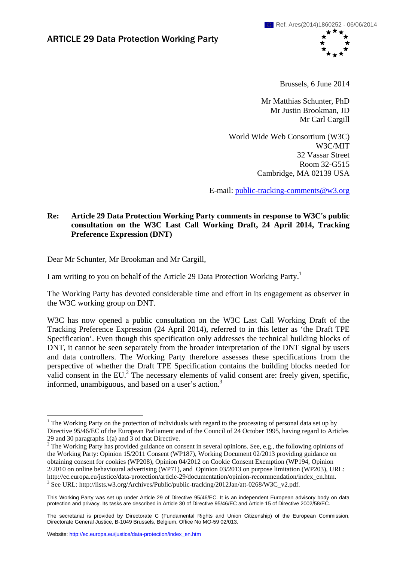

Brussels, 6 June 2014

Mr Matthias Schunter, PhD Mr Justin Brookman, JD Mr Carl Cargill

World Wide Web Consortium (W3C) W3C/MIT 32 Vassar Street Room 32-G515 Cambridge, MA 02139 USA

E-mail[: public-tracking-comments@w3.org](mailto:public-tracking-comments@w3.org)

# **Re: Article 29 Data Protection Working Party comments in response to W3C's public consultation on the W3C Last Call Working Draft, 24 April 2014, Tracking Preference Expression (DNT)**

Dear Mr Schunter, Mr Brookman and Mr Cargill,

I am writing to you on behalf of the Article 29 Data Protection Working Party.<sup>1</sup>

The Working Party has devoted considerable time and effort in its engagement as observer in the W3C working group on DNT.

W3C has now opened a public consultation on the W3C Last Call Working Draft of the Tracking Preference Expression (24 April 2014), referred to in this letter as 'the Draft TPE Specification'. Even though this specification only addresses the technical building blocks of DNT, it cannot be seen separately from the broader interpretation of the DNT signal by users and data controllers. The Working Party therefore assesses these specifications from the perspective of whether the Draft TPE Specification contains the building blocks needed for valid consent in the  $EU^2$ . The necessary elements of valid consent are: freely given, specific, informed, unambiguous, and based on a user's action. $3$ 

1

<sup>&</sup>lt;sup>1</sup> The Working Party on the protection of individuals with regard to the processing of personal data set up by Directive 95/46/EC of the European Parliament and of the Council of 24 October 1995, having regard to Articles 29 and 30 paragraphs 1(a) and 3 of that Directive.

<sup>&</sup>lt;sup>2</sup> The Working Party has provided guidance on consent in several opinions. See, e.g., the following opinions of the Working Party: Opinion 15/2011 Consent (WP187), Working Document 02/2013 providing guidance on obtaining consent for cookies (WP208), Opinion 04/2012 on Cookie Consent Exemption (WP194, Opinion 2/2010 on online behavioural advertising (WP71), and Opinion 03/2013 on purpose limitation (WP203), URL: http://ec.europa.eu/justice/data-protection/article-29/documentation/opinion-recommendation/index\_en.htm. 3 <sup>3</sup> See URL: http://lists.w3.org/Archives/Public/public-tracking/2012Jan/att-0268/W3C\_v2.pdf.

This Working Party was set up under Article 29 of Directive 95/46/EC. It is an independent European advisory body on data protection and privacy. Its tasks are described in Article 30 of Directive 95/46/EC and Article 15 of Directive 2002/58/EC.

The secretariat is provided by Directorate C (Fundamental Rights and Union Citizenship) of the European Commission, Directorate General Justice, B-1049 Brussels, Belgium, Office No MO-59 02/013.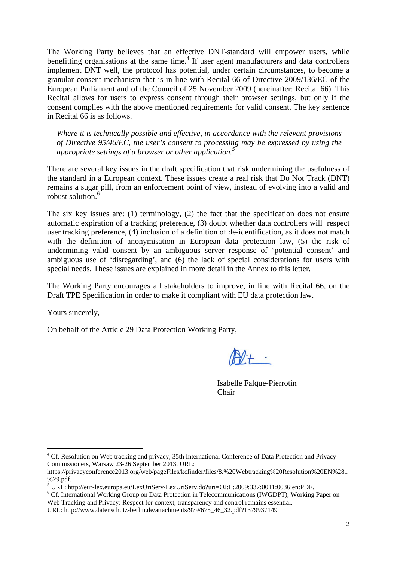The Working Party believes that an effective DNT-standard will empower users, while benefitting organisations at the same time.<sup>4</sup> If user agent manufacturers and data controllers implement DNT well, the protocol has potential, under certain circumstances, to become a granular consent mechanism that is in line with Recital 66 of Directive 2009/136/EC of the European Parliament and of the Council of 25 November 2009 (hereinafter: Recital 66). This Recital allows for users to express consent through their browser settings, but only if the consent complies with the above mentioned requirements for valid consent. The key sentence in Recital 66 is as follows.

*Where it is technically possible and effective, in accordance with the relevant provisions of Directive 95/46/EC, the user's consent to processing may be expressed by using the appropriate settings of a browser or other application.5*

There are several key issues in the draft specification that risk undermining the usefulness of the standard in a European context. These issues create a real risk that Do Not Track (DNT) remains a sugar pill, from an enforcement point of view, instead of evolving into a valid and robust solution.6

The six key issues are: (1) terminology, (2) the fact that the specification does not ensure automatic expiration of a tracking preference, (3) doubt whether data controllers will respect user tracking preference, (4) inclusion of a definition of de-identification, as it does not match with the definition of anonymisation in European data protection law, (5) the risk of undermining valid consent by an ambiguous server response of 'potential consent' and ambiguous use of 'disregarding', and (6) the lack of special considerations for users with special needs. These issues are explained in more detail in the Annex to this letter.

The Working Party encourages all stakeholders to improve, in line with Recital 66, on the Draft TPE Specification in order to make it compliant with EU data protection law.

Yours sincerely,

1

On behalf of the Article 29 Data Protection Working Party,

 $M +$ 

Isabelle Falque-Pierrotin Chair

<sup>&</sup>lt;sup>4</sup> Cf. Resolution on Web tracking and privacy, 35th International Conference of Data Protection and Privacy Commissioners, Warsaw 23-26 September 2013. URL:

https://privacyconference2013.org/web/pageFiles/kcfinder/files/8.%20Webtracking%20Resolution%20EN%281 %29.pdf.

<sup>5</sup> URL: http://eur-lex.europa.eu/LexUriServ/LexUriServ.do?uri=OJ:L:2009:337:0011:0036:en:PDF.

<sup>&</sup>lt;sup>6</sup> Cf. International Working Group on Data Protection in Telecommunications (IWGDPT), Working Paper on Web Tracking and Privacy: Respect for context, transparency and control remains essential.

URL: http://www.datenschutz-berlin.de/attachments/979/675\_46\_32.pdf?1379937149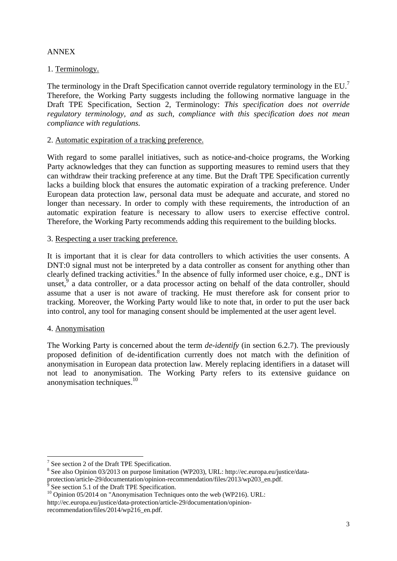# ANNEX

# 1. Terminology.

The terminology in the Draft Specification cannot override regulatory terminology in the EU.<sup>7</sup> Therefore, the Working Party suggests including the following normative language in the Draft TPE Specification, Section 2, Terminology: *This specification does not override regulatory terminology, and as such, compliance with this specification does not mean compliance with regulations.*

## 2. Automatic expiration of a tracking preference.

With regard to some parallel initiatives, such as notice-and-choice programs, the Working Party acknowledges that they can function as supporting measures to remind users that they can withdraw their tracking preference at any time. But the Draft TPE Specification currently lacks a building block that ensures the automatic expiration of a tracking preference. Under European data protection law, personal data must be adequate and accurate, and stored no longer than necessary. In order to comply with these requirements, the introduction of an automatic expiration feature is necessary to allow users to exercise effective control. Therefore, the Working Party recommends adding this requirement to the building blocks.

### 3. Respecting a user tracking preference.

It is important that it is clear for data controllers to which activities the user consents. A DNT:0 signal must not be interpreted by a data controller as consent for anything other than clearly defined tracking activities.<sup>8</sup> In the absence of fully informed user choice, e.g., DNT is unset, $9$  a data controller, or a data processor acting on behalf of the data controller, should assume that a user is not aware of tracking. He must therefore ask for consent prior to tracking. Moreover, the Working Party would like to note that, in order to put the user back into control, any tool for managing consent should be implemented at the user agent level.

# 4. Anonymisation

<u>.</u>

The Working Party is concerned about the term *de-identify* (in section 6.2.7). The previously proposed definition of de-identification currently does not match with the definition of anonymisation in European data protection law. Merely replacing identifiers in a dataset will not lead to anonymisation. The Working Party refers to its extensive guidance on anonymisation techniques.10

http://ec.europa.eu/justice/data-protection/article-29/documentation/opinion-

<sup>&</sup>lt;sup>7</sup> See section 2 of the Draft TPE Specification.

<sup>&</sup>lt;sup>8</sup> See also Opinion 03/2013 on purpose limitation (WP203), URL: http://ec.europa.eu/justice/dataprotection/article-29/documentation/opinion-recommendation/files/2013/wp203\_en.pdf.

<sup>9</sup> See section 5.1 of the Draft TPE Specification.

 $10$  Opinion 05/2014 on "Anonymisation Techniques onto the web (WP216). URL: